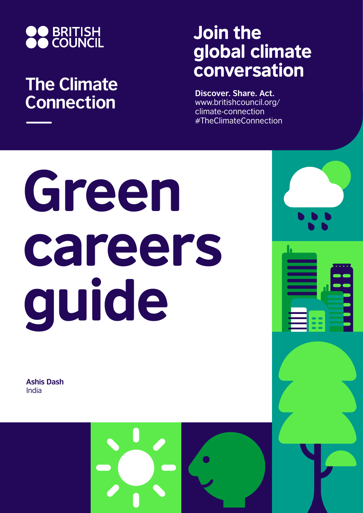

## **The Climate Connection**

## Join the global climate conversation

**Discover. Share. Act.** www.britishcouncil.org/ climate-connection #TheClimateConnection

# Green careers guide

**Ashis Dash** India

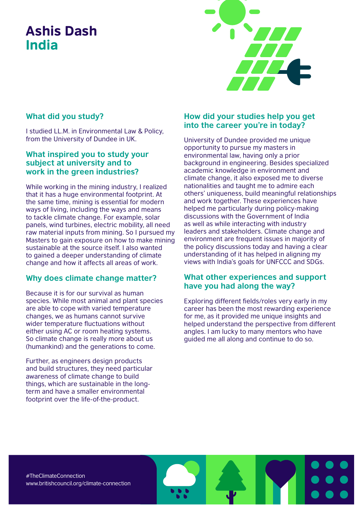### Ashis Dash India



#### **What did you study?**

I studied LL.M. in Environmental Law & Policy, from the University of Dundee in UK.

#### **What inspired you to study your subject at university and to work in the green industries?**

While working in the mining industry, I realized that it has a huge environmental footprint. At the same time, mining is essential for modern ways of living, including the ways and means to tackle climate change. For example, solar panels, wind turbines, electric mobility, all need raw material inputs from mining. So I pursued my Masters to gain exposure on how to make mining sustainable at the source itself. I also wanted to gained a deeper understanding of climate change and how it affects all areas of work.

#### **Why does climate change matter?**

Because it is for our survival as human species. While most animal and plant species are able to cope with varied temperature changes, we as humans cannot survive wider temperature fluctuations without either using AC or room heating systems. So climate change is really more about us (humankind) and the generations to come.

Further, as engineers design products and build structures, they need particular awareness of climate change to build things, which are sustainable in the longterm and have a smaller environmental footprint over the life-of-the-product.

#### **How did your studies help you get into the career you're in today?**

University of Dundee provided me unique opportunity to pursue my masters in environmental law, having only a prior background in engineering. Besides specialized academic knowledge in environment and climate change, it also exposed me to diverse nationalities and taught me to admire each others' uniqueness, build meaningful relationships and work together. These experiences have helped me particularly during policy-making discussions with the Government of India as well as while interacting with industry leaders and stakeholders. Climate change and environment are frequent issues in majority of the policy discussions today and having a clear understanding of it has helped in aligning my views with India's goals for UNFCCC and SDGs.

#### **What other experiences and support have you had along the way?**

Exploring different fields/roles very early in my career has been the most rewarding experience for me, as it provided me unique insights and helped understand the perspective from different angles. I am lucky to many mentors who have guided me all along and continue to do so.

#TheClimateConnection www.britishcouncil.org/climate-connection